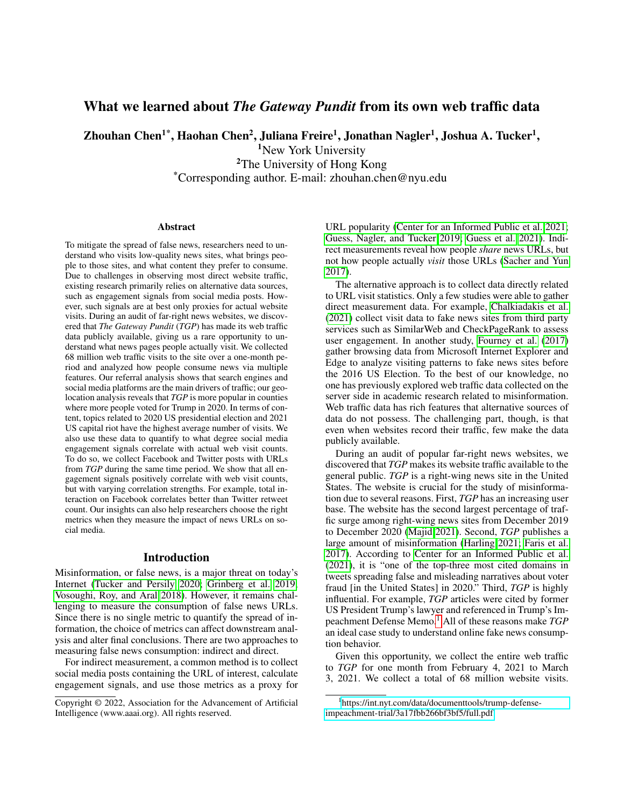# What we learned about *The Gateway Pundit* from its own web traffic data

Zhouhan Chen<sup>1\*</sup>, Haohan Chen<sup>2</sup>, Juliana Freire<sup>1</sup>, Jonathan Nagler<sup>1</sup>, Joshua A. Tucker<sup>1</sup>,

<sup>1</sup>New York University

<sup>2</sup>The University of Hong Kong

\*Corresponding author. E-mail: zhouhan.chen@nyu.edu

#### Abstract

To mitigate the spread of false news, researchers need to understand who visits low-quality news sites, what brings people to those sites, and what content they prefer to consume. Due to challenges in observing most direct website traffic, existing research primarily relies on alternative data sources, such as engagement signals from social media posts. However, such signals are at best only proxies for actual website visits. During an audit of far-right news websites, we discovered that *The Gateway Pundit* (*TGP*) has made its web traffic data publicly available, giving us a rare opportunity to understand what news pages people actually visit. We collected 68 million web traffic visits to the site over a one-month period and analyzed how people consume news via multiple features. Our referral analysis shows that search engines and social media platforms are the main drivers of traffic; our geolocation analysis reveals that *TGP* is more popular in counties where more people voted for Trump in 2020. In terms of content, topics related to 2020 US presidential election and 2021 US capital riot have the highest average number of visits. We also use these data to quantify to what degree social media engagement signals correlate with actual web visit counts. To do so, we collect Facebook and Twitter posts with URLs from *TGP* during the same time period. We show that all engagement signals positively correlate with web visit counts, but with varying correlation strengths. For example, total interaction on Facebook correlates better than Twitter retweet count. Our insights can also help researchers choose the right metrics when they measure the impact of news URLs on social media.

#### Introduction

Misinformation, or false news, is a major threat on today's Internet [\(Tucker and Persily 2020;](#page-7-0) [Grinberg et al. 2019;](#page-6-0) [Vosoughi, Roy, and Aral 2018\)](#page-7-1). However, it remains challenging to measure the consumption of false news URLs. Since there is no single metric to quantify the spread of information, the choice of metrics can affect downstream analysis and alter final conclusions. There are two approaches to measuring false news consumption: indirect and direct.

For indirect measurement, a common method is to collect social media posts containing the URL of interest, calculate engagement signals, and use those metrics as a proxy for URL popularity [\(Center for an Informed Public et al. 2021;](#page-6-1) [Guess, Nagler, and Tucker 2019;](#page-7-2) [Guess et al. 2021\)](#page-6-2). Indirect measurements reveal how people *share* news URLs, but not how people actually *visit* those URLs [\(Sacher and Yun](#page-7-3) [2017\)](#page-7-3).

The alternative approach is to collect data directly related to URL visit statistics. Only a few studies were able to gather direct measurement data. For example, [Chalkiadakis et al.](#page-6-3) [\(2021\)](#page-6-3) collect visit data to fake news sites from third party services such as SimilarWeb and CheckPageRank to assess user engagement. In another study, [Fourney et al.](#page-6-4) [\(2017\)](#page-6-4) gather browsing data from Microsoft Internet Explorer and Edge to analyze visiting patterns to fake news sites before the 2016 US Election. To the best of our knowledge, no one has previously explored web traffic data collected on the server side in academic research related to misinformation. Web traffic data has rich features that alternative sources of data do not possess. The challenging part, though, is that even when websites record their traffic, few make the data publicly available.

During an audit of popular far-right news websites, we discovered that *TGP* makes its website traffic available to the general public. *TGP* is a right-wing news site in the United States. The website is crucial for the study of misinformation due to several reasons. First, *TGP* has an increasing user base. The website has the second largest percentage of traffic surge among right-wing news sites from December 2019 to December 2020 [\(Majid 2021\)](#page-7-4). Second, *TGP* publishes a large amount of misinformation [\(Harling 2021;](#page-7-5) [Faris et al.](#page-6-5) [2017\)](#page-6-5). According to [Center for an Informed Public et al.](#page-6-1) [\(2021\)](#page-6-1), it is "one of the top-three most cited domains in tweets spreading false and misleading narratives about voter fraud [in the United States] in 2020." Third, *TGP* is highly influential. For example, *TGP* articles were cited by former US President Trump's lawyer and referenced in Trump's Im-peachment Defense Memo.<sup>[1](#page-0-0)</sup> All of these reasons make *TGP* an ideal case study to understand online fake news consumption behavior.

Given this opportunity, we collect the entire web traffic to *TGP* for one month from February 4, 2021 to March 3, 2021. We collect a total of 68 million website visits.

Copyright © 2022, Association for the Advancement of Artificial Intelligence (www.aaai.org). All rights reserved.

<span id="page-0-0"></span><sup>1</sup> [https://int.nyt.com/data/documenttools/trump-defense](https://int.nyt.com/data/documenttools/trump-defense-impeachment-trial/3a17fbb266bf3bf5/full.pdf)[impeachment-trial/3a17fbb266bf3bf5/full.pdf](https://int.nyt.com/data/documenttools/trump-defense-impeachment-trial/3a17fbb266bf3bf5/full.pdf)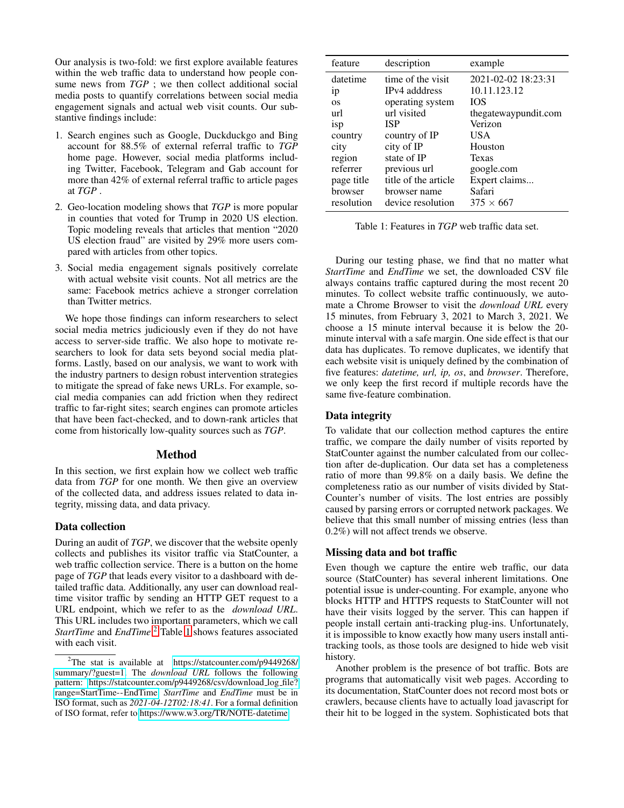Our analysis is two-fold: we first explore available features within the web traffic data to understand how people consume news from *TGP* ; we then collect additional social media posts to quantify correlations between social media engagement signals and actual web visit counts. Our substantive findings include:

- 1. Search engines such as Google, Duckduckgo and Bing account for 88.5% of external referral traffic to *TGP* home page. However, social media platforms including Twitter, Facebook, Telegram and Gab account for more than 42% of external referral traffic to article pages at *TGP* .
- 2. Geo-location modeling shows that *TGP* is more popular in counties that voted for Trump in 2020 US election. Topic modeling reveals that articles that mention "2020 US election fraud" are visited by 29% more users compared with articles from other topics.
- 3. Social media engagement signals positively correlate with actual website visit counts. Not all metrics are the same: Facebook metrics achieve a stronger correlation than Twitter metrics.

We hope those findings can inform researchers to select social media metrics judiciously even if they do not have access to server-side traffic. We also hope to motivate researchers to look for data sets beyond social media platforms. Lastly, based on our analysis, we want to work with the industry partners to design robust intervention strategies to mitigate the spread of fake news URLs. For example, social media companies can add friction when they redirect traffic to far-right sites; search engines can promote articles that have been fact-checked, and to down-rank articles that come from historically low-quality sources such as *TGP*.

### Method

In this section, we first explain how we collect web traffic data from *TGP* for one month. We then give an overview of the collected data, and address issues related to data integrity, missing data, and data privacy.

#### Data collection

During an audit of *TGP*, we discover that the website openly collects and publishes its visitor traffic via StatCounter, a web traffic collection service. There is a button on the home page of *TGP* that leads every visitor to a dashboard with detailed traffic data. Additionally, any user can download realtime visitor traffic by sending an HTTP GET request to a URL endpoint, which we refer to as the *download URL*. This URL includes two important parameters, which we call *StartTime* and *EndTime*. [2](#page-1-0) Table [1](#page-1-1) shows features associated with each visit.

<span id="page-1-1"></span>

| feature    | description                               | example                             |
|------------|-------------------------------------------|-------------------------------------|
| datetime   | time of the visit<br><b>IPv4</b> adddress | 2021-02-02 18:23:31<br>10.11.123.12 |
| 1p<br>OS   | operating system                          | <b>IOS</b>                          |
| url        | url visited                               | thegatewaypundit.com                |
| isp        | ISP                                       | Verizon                             |
| country    | country of IP                             | USA                                 |
| city       | city of IP                                | Houston                             |
| region     | state of IP                               | Texas                               |
| referrer   | previous url                              | google.com                          |
| page title | title of the article                      | Expert claims                       |
| browser    | browser name                              | Safari                              |
| resolution | device resolution                         | $375 \times 667$                    |

Table 1: Features in *TGP* web traffic data set.

During our testing phase, we find that no matter what *StartTime* and *EndTime* we set, the downloaded CSV file always contains traffic captured during the most recent 20 minutes. To collect website traffic continuously, we automate a Chrome Browser to visit the *download URL* every 15 minutes, from February 3, 2021 to March 3, 2021. We choose a 15 minute interval because it is below the 20 minute interval with a safe margin. One side effect is that our data has duplicates. To remove duplicates, we identify that each website visit is uniquely defined by the combination of five features: *datetime, url, ip, os*, and *browser*. Therefore, we only keep the first record if multiple records have the same five-feature combination.

### Data integrity

To validate that our collection method captures the entire traffic, we compare the daily number of visits reported by StatCounter against the number calculated from our collection after de-duplication. Our data set has a completeness ratio of more than 99.8% on a daily basis. We define the completeness ratio as our number of visits divided by Stat-Counter's number of visits. The lost entries are possibly caused by parsing errors or corrupted network packages. We believe that this small number of missing entries (less than 0.2%) will not affect trends we observe.

#### Missing data and bot traffic

Even though we capture the entire web traffic, our data source (StatCounter) has several inherent limitations. One potential issue is under-counting. For example, anyone who blocks HTTP and HTTPS requests to StatCounter will not have their visits logged by the server. This can happen if people install certain anti-tracking plug-ins. Unfortunately, it is impossible to know exactly how many users install antitracking tools, as those tools are designed to hide web visit history.

Another problem is the presence of bot traffic. Bots are programs that automatically visit web pages. According to its documentation, StatCounter does not record most bots or crawlers, because clients have to actually load javascript for their hit to be logged in the system. Sophisticated bots that

<span id="page-1-0"></span><sup>2</sup>The stat is available at [https://statcounter.com/p9449268/](https://statcounter.com/p9449268/summary/?guest=1) [summary/?guest=1.](https://statcounter.com/p9449268/summary/?guest=1) The *download URL* follows the following pattern: [https://statcounter.com/p9449268/csv/download](https://statcounter.com/p9449268/csv/download_log_file?range=StartTime--EndTime)\_log\_file? [range=StartTime--EndTime.](https://statcounter.com/p9449268/csv/download_log_file?range=StartTime--EndTime) *StartTime* and *EndTime* must be in ISO format, such as *2021-04-12T02:18:41*. For a formal definition of ISO format, refer to [https://www.w3.org/TR/NOTE-datetime.](https://www.w3.org/TR/NOTE-datetime)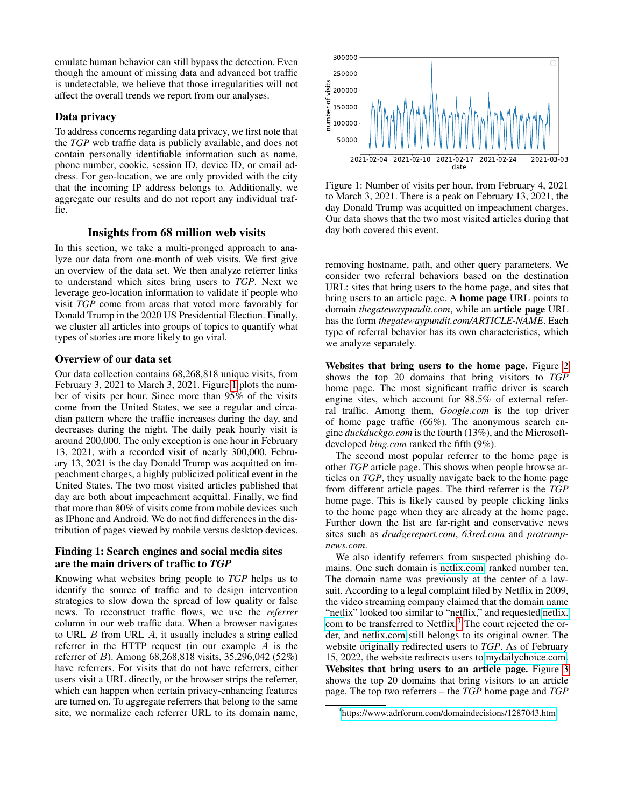emulate human behavior can still bypass the detection. Even though the amount of missing data and advanced bot traffic is undetectable, we believe that those irregularities will not affect the overall trends we report from our analyses.

# Data privacy

To address concerns regarding data privacy, we first note that the *TGP* web traffic data is publicly available, and does not contain personally identifiable information such as name, phone number, cookie, session ID, device ID, or email address. For geo-location, we are only provided with the city that the incoming IP address belongs to. Additionally, we aggregate our results and do not report any individual traffic.

# Insights from 68 million web visits

In this section, we take a multi-pronged approach to analyze our data from one-month of web visits. We first give an overview of the data set. We then analyze referrer links to understand which sites bring users to *TGP*. Next we leverage geo-location information to validate if people who visit *TGP* come from areas that voted more favorably for Donald Trump in the 2020 US Presidential Election. Finally, we cluster all articles into groups of topics to quantify what types of stories are more likely to go viral.

### Overview of our data set

Our data collection contains 68,268,818 unique visits, from February 3, 2021 to March 3, 2021. Figure [1](#page-2-0) plots the number of visits per hour. Since more than 95% of the visits come from the United States, we see a regular and circadian pattern where the traffic increases during the day, and decreases during the night. The daily peak hourly visit is around 200,000. The only exception is one hour in February 13, 2021, with a recorded visit of nearly 300,000. February 13, 2021 is the day Donald Trump was acquitted on impeachment charges, a highly publicized political event in the United States. The two most visited articles published that day are both about impeachment acquittal. Finally, we find that more than 80% of visits come from mobile devices such as IPhone and Android. We do not find differences in the distribution of pages viewed by mobile versus desktop devices.

# Finding 1: Search engines and social media sites are the main drivers of traffic to *TGP*

Knowing what websites bring people to *TGP* helps us to identify the source of traffic and to design intervention strategies to slow down the spread of low quality or false news. To reconstruct traffic flows, we use the *referrer* column in our web traffic data. When a browser navigates to URL  $B$  from URL  $A$ , it usually includes a string called referrer in the HTTP request (in our example A is the referrer of B). Among 68,268,818 visits, 35,296,042 (52%) have referrers. For visits that do not have referrers, either users visit a URL directly, or the browser strips the referrer, which can happen when certain privacy-enhancing features are turned on. To aggregate referrers that belong to the same site, we normalize each referrer URL to its domain name,

<span id="page-2-0"></span>

Figure 1: Number of visits per hour, from February 4, 2021 to March 3, 2021. There is a peak on February 13, 2021, the day Donald Trump was acquitted on impeachment charges. Our data shows that the two most visited articles during that day both covered this event.

removing hostname, path, and other query parameters. We consider two referral behaviors based on the destination URL: sites that bring users to the home page, and sites that bring users to an article page. A home page URL points to domain *thegatewaypundit.com*, while an article page URL has the form *thegatewaypundit.com/ARTICLE-NAME*. Each type of referral behavior has its own characteristics, which we analyze separately.

Websites that bring users to the home page. Figure [2](#page-3-0) shows the top 20 domains that bring visitors to *TGP* home page. The most significant traffic driver is search engine sites, which account for 88.5% of external referral traffic. Among them, *Google.com* is the top driver of home page traffic (66%). The anonymous search engine *duckduckgo.com* is the fourth (13%), and the Microsoftdeveloped *bing.com* ranked the fifth (9%).

The second most popular referrer to the home page is other *TGP* article page. This shows when people browse articles on *TGP*, they usually navigate back to the home page from different article pages. The third referrer is the *TGP* home page. This is likely caused by people clicking links to the home page when they are already at the home page. Further down the list are far-right and conservative news sites such as *drudgereport.com*, *63red.com* and *protrumpnews.com*.

We also identify referrers from suspected phishing domains. One such domain is [netlix.com,](netlix.com) ranked number ten. The domain name was previously at the center of a lawsuit. According to a legal complaint filed by Netflix in 2009, the video streaming company claimed that the domain name "netlix" looked too similar to "netflix," and requested [netlix.](netlix.com) [com](netlix.com) to be transferred to Netflix.<sup>[3](#page-2-1)</sup> The court rejected the order, and<netlix.com> still belongs to its original owner. The website originally redirected users to *TGP*. As of February 15, 2022, the website redirects users to [mydailychoice.com.](mydailychoice.com) Websites that bring users to an article page. Figure [3](#page-3-1) shows the top 20 domains that bring visitors to an article page. The top two referrers – the *TGP* home page and *TGP*

<span id="page-2-1"></span><sup>3</sup> <https://www.adrforum.com/domaindecisions/1287043.htm>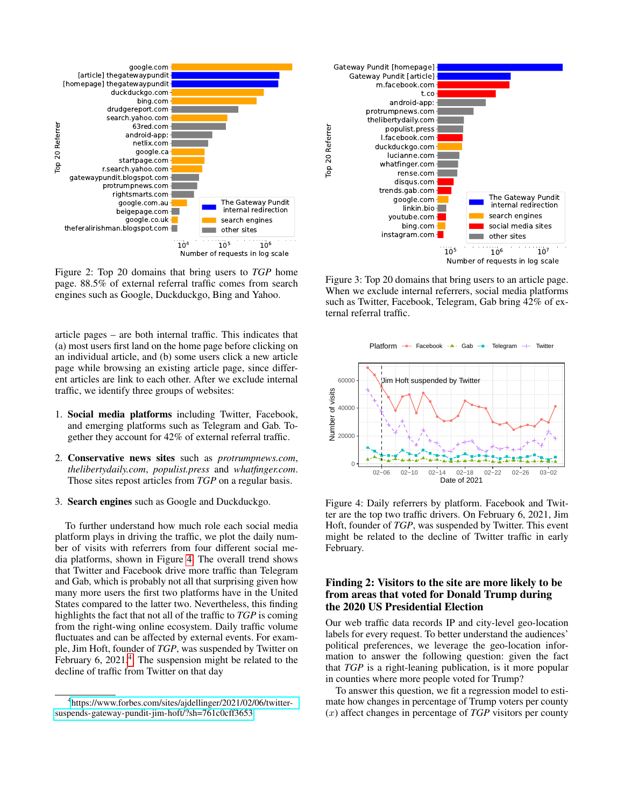<span id="page-3-0"></span>

Figure 2: Top 20 domains that bring users to *TGP* home page. 88.5% of external referral traffic comes from search engines such as Google, Duckduckgo, Bing and Yahoo.

article pages – are both internal traffic. This indicates that (a) most users first land on the home page before clicking on an individual article, and (b) some users click a new article page while browsing an existing article page, since different articles are link to each other. After we exclude internal traffic, we identify three groups of websites:

- 1. Social media platforms including Twitter, Facebook, and emerging platforms such as Telegram and Gab. Together they account for 42% of external referral traffic.
- 2. Conservative news sites such as *protrumpnews.com*, *thelibertydaily.com*, *populist.press* and *whatfinger.com*. Those sites repost articles from *TGP* on a regular basis.
- 3. Search engines such as Google and Duckduckgo.

To further understand how much role each social media platform plays in driving the traffic, we plot the daily number of visits with referrers from four different social media platforms, shown in Figure [4.](#page-3-2) The overall trend shows that Twitter and Facebook drive more traffic than Telegram and Gab, which is probably not all that surprising given how many more users the first two platforms have in the United States compared to the latter two. Nevertheless, this finding highlights the fact that not all of the traffic to *TGP* is coming from the right-wing online ecosystem. Daily traffic volume fluctuates and can be affected by external events. For example, Jim Hoft, founder of *TGP*, was suspended by Twitter on February 6, 2021.<sup>[4](#page-3-3)</sup>. The suspension might be related to the decline of traffic from Twitter on that day

<span id="page-3-1"></span>

Figure 3: Top 20 domains that bring users to an article page. When we exclude internal referrers, social media platforms such as Twitter, Facebook, Telegram, Gab bring 42% of external referral traffic.



<span id="page-3-2"></span>

Figure 4: Daily referrers by platform. Facebook and Twitter are the top two traffic drivers. On February 6, 2021, Jim Hoft, founder of *TGP*, was suspended by Twitter. This event might be related to the decline of Twitter traffic in early February.

# Finding 2: Visitors to the site are more likely to be from areas that voted for Donald Trump during the 2020 US Presidential Election

Our web traffic data records IP and city-level geo-location labels for every request. To better understand the audiences' political preferences, we leverage the geo-location information to answer the following question: given the fact that *TGP* is a right-leaning publication, is it more popular in counties where more people voted for Trump?

To answer this question, we fit a regression model to estimate how changes in percentage of Trump voters per county (x) affect changes in percentage of *TGP* visitors per county

<span id="page-3-3"></span><sup>4</sup> [https://www.forbes.com/sites/ajdellinger/2021/02/06/twitter](https://www.forbes.com/sites/ajdellinger/2021/02/06/twitter-suspends-gateway-pundit-jim-hoft/?sh=761c0cff3653)[suspends-gateway-pundit-jim-hoft/?sh=761c0cff3653](https://www.forbes.com/sites/ajdellinger/2021/02/06/twitter-suspends-gateway-pundit-jim-hoft/?sh=761c0cff3653)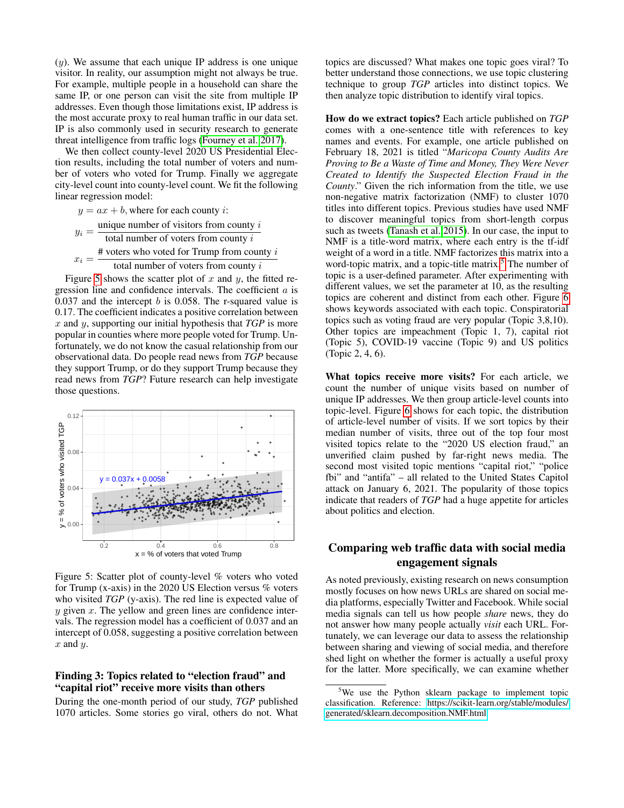$(y)$ . We assume that each unique IP address is one unique visitor. In reality, our assumption might not always be true. For example, multiple people in a household can share the same IP, or one person can visit the site from multiple IP addresses. Even though those limitations exist, IP address is the most accurate proxy to real human traffic in our data set. IP is also commonly used in security research to generate threat intelligence from traffic logs [\(Fourney et al. 2017\)](#page-6-4).

We then collect county-level 2020 US Presidential Election results, including the total number of voters and number of voters who voted for Trump. Finally we aggregate city-level count into county-level count. We fit the following linear regression model:

$$
y = ax + b
$$
, where for each county *i*:  
\n
$$
y_i = \frac{\text{unique number of visitors from county } i}{\text{total number of voters from county } i}
$$
\n
$$
x_i = \frac{\text{# voters who voted for Trump from county } i}{\text{total number of voters from county } i}
$$

Figure [5](#page-4-0) shows the scatter plot of  $x$  and  $y$ , the fitted regression line and confidence intervals. The coefficient  $a$  is  $0.037$  and the intercept b is 0.058. The r-squared value is 0.17. The coefficient indicates a positive correlation between x and y, supporting our initial hypothesis that *TGP* is more popular in counties where more people voted for Trump. Unfortunately, we do not know the casual relationship from our observational data. Do people read news from *TGP* because they support Trump, or do they support Trump because they read news from *TGP*? Future research can help investigate those questions.

<span id="page-4-0"></span>

Figure 5: Scatter plot of county-level % voters who voted for Trump (x-axis) in the 2020 US Election versus % voters who visited *TGP* (y-axis). The red line is expected value of  $y$  given  $x$ . The yellow and green lines are confidence intervals. The regression model has a coefficient of 0.037 and an intercept of 0.058, suggesting a positive correlation between  $x$  and  $y$ .

# Finding 3: Topics related to "election fraud" and "capital riot" receive more visits than others

During the one-month period of our study, *TGP* published 1070 articles. Some stories go viral, others do not. What topics are discussed? What makes one topic goes viral? To better understand those connections, we use topic clustering technique to group *TGP* articles into distinct topics. We then analyze topic distribution to identify viral topics.

How do we extract topics? Each article published on *TGP* comes with a one-sentence title with references to key names and events. For example, one article published on February 18, 2021 is titled "*Maricopa County Audits Are Proving to Be a Waste of Time and Money, They Were Never Created to Identify the Suspected Election Fraud in the County*." Given the rich information from the title, we use non-negative matrix factorization (NMF) to cluster 1070 titles into different topics. Previous studies have used NMF to discover meaningful topics from short-length corpus such as tweets [\(Tanash et al. 2015\)](#page-7-6). In our case, the input to NMF is a title-word matrix, where each entry is the tf-idf weight of a word in a title. NMF factorizes this matrix into a word-topic matrix, and a topic-title matrix.<sup>[5](#page-4-1)</sup> The number of topic is a user-defined parameter. After experimenting with different values, we set the parameter at 10, as the resulting topics are coherent and distinct from each other. Figure [6](#page-5-0) shows keywords associated with each topic. Conspiratorial topics such as voting fraud are very popular (Topic 3,8,10). Other topics are impeachment (Topic 1, 7), capital riot (Topic 5), COVID-19 vaccine (Topic 9) and US politics (Topic 2, 4, 6).

What topics receive more visits? For each article, we count the number of unique visits based on number of unique IP addresses. We then group article-level counts into topic-level. Figure [6](#page-5-0) shows for each topic, the distribution of article-level number of visits. If we sort topics by their median number of visits, three out of the top four most visited topics relate to the "2020 US election fraud," an unverified claim pushed by far-right news media. The second most visited topic mentions "capital riot," "police fbi" and "antifa" – all related to the United States Capitol attack on January 6, 2021. The popularity of those topics indicate that readers of *TGP* had a huge appetite for articles about politics and election.

# Comparing web traffic data with social media engagement signals

As noted previously, existing research on news consumption mostly focuses on how news URLs are shared on social media platforms, especially Twitter and Facebook. While social media signals can tell us how people *share* news, they do not answer how many people actually *visit* each URL. Fortunately, we can leverage our data to assess the relationship between sharing and viewing of social media, and therefore shed light on whether the former is actually a useful proxy for the latter. More specifically, we can examine whether

<span id="page-4-1"></span><sup>&</sup>lt;sup>5</sup>We use the Python sklearn package to implement topic classification. Reference: [https://scikit-learn.org/stable/modules/](https://scikit-learn.org/stable/modules/generated/sklearn.decomposition.NMF.html) [generated/sklearn.decomposition.NMF.html](https://scikit-learn.org/stable/modules/generated/sklearn.decomposition.NMF.html)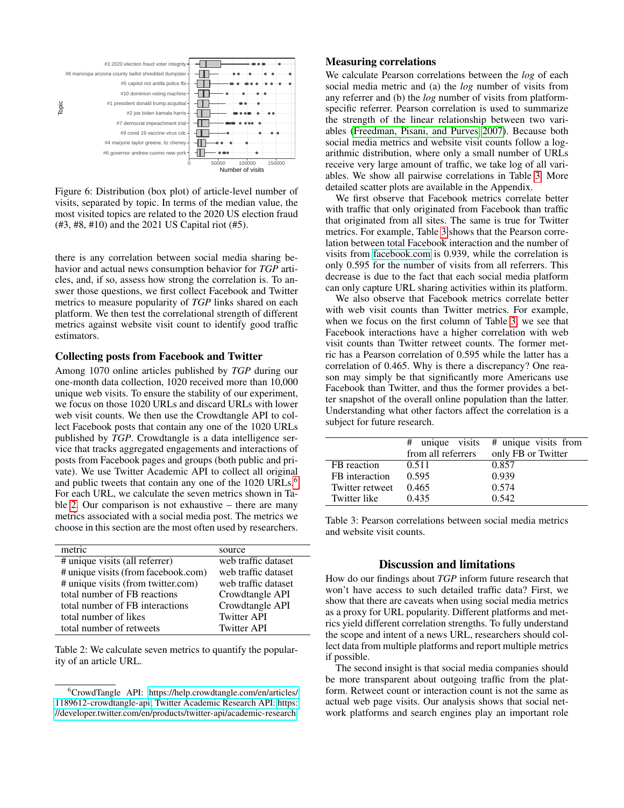<span id="page-5-0"></span>

Figure 6: Distribution (box plot) of article-level number of visits, separated by topic. In terms of the median value, the most visited topics are related to the 2020 US election fraud (#3, #8, #10) and the 2021 US Capital riot (#5).

there is any correlation between social media sharing behavior and actual news consumption behavior for *TGP* articles, and, if so, assess how strong the correlation is. To answer those questions, we first collect Facebook and Twitter metrics to measure popularity of *TGP* links shared on each platform. We then test the correlational strength of different metrics against website visit count to identify good traffic estimators.

# Collecting posts from Facebook and Twitter

Among 1070 online articles published by *TGP* during our one-month data collection, 1020 received more than 10,000 unique web visits. To ensure the stability of our experiment, we focus on those 1020 URLs and discard URLs with lower web visit counts. We then use the Crowdtangle API to collect Facebook posts that contain any one of the 1020 URLs published by *TGP*. Crowdtangle is a data intelligence service that tracks aggregated engagements and interactions of posts from Facebook pages and groups (both public and private). We use Twitter Academic API to collect all original and public tweets that contain any one of the 1020 URLs.<sup>[6](#page-5-1)</sup> For each URL, we calculate the seven metrics shown in Table [2.](#page-5-2) Our comparison is not exhaustive – there are many metrics associated with a social media post. The metrics we choose in this section are the most often used by researchers.

<span id="page-5-2"></span>

| metric                              | source              |
|-------------------------------------|---------------------|
| # unique visits (all referrer)      | web traffic dataset |
| # unique visits (from facebook.com) | web traffic dataset |
| # unique visits (from twitter.com)  | web traffic dataset |
| total number of FB reactions        | Crowdtangle API     |
| total number of FB interactions     | Crowdtangle API     |
| total number of likes               | <b>Twitter API</b>  |
| total number of retweets            | <b>Twitter API</b>  |
|                                     |                     |

Table 2: We calculate seven metrics to quantify the popularity of an article URL.

# Measuring correlations

We calculate Pearson correlations between the *log* of each social media metric and (a) the *log* number of visits from any referrer and (b) the *log* number of visits from platformspecific referrer. Pearson correlation is used to summarize the strength of the linear relationship between two variables [\(Freedman, Pisani, and Purves 2007\)](#page-6-6). Because both social media metrics and website visit counts follow a logarithmic distribution, where only a small number of URLs receive very large amount of traffic, we take log of all variables. We show all pairwise correlations in Table [3.](#page-5-3) More detailed scatter plots are available in the Appendix.

We first observe that Facebook metrics correlate better with traffic that only originated from Facebook than traffic that originated from all sites. The same is true for Twitter metrics. For example, Table [3](#page-5-3) shows that the Pearson correlation between total Facebook interaction and the number of visits from<facebook.com> is 0.939, while the correlation is only 0.595 for the number of visits from all referrers. This decrease is due to the fact that each social media platform can only capture URL sharing activities within its platform.

We also observe that Facebook metrics correlate better with web visit counts than Twitter metrics. For example, when we focus on the first column of Table [3,](#page-5-3) we see that Facebook interactions have a higher correlation with web visit counts than Twitter retweet counts. The former metric has a Pearson correlation of 0.595 while the latter has a correlation of 0.465. Why is there a discrepancy? One reason may simply be that significantly more Americans use Facebook than Twitter, and thus the former provides a better snapshot of the overall online population than the latter. Understanding what other factors affect the correlation is a subject for future research.

<span id="page-5-3"></span>

|                 |                    | # unique visits # unique visits from |
|-----------------|--------------------|--------------------------------------|
|                 | from all referrers | only FB or Twitter                   |
| FB reaction     | 0.511              | 0.857                                |
| FB interaction  | 0.595              | 0.939                                |
| Twitter retweet | 0.465              | 0.574                                |
| Twitter like    | 0.435              | 0.542                                |

Table 3: Pearson correlations between social media metrics and website visit counts.

#### Discussion and limitations

How do our findings about *TGP* inform future research that won't have access to such detailed traffic data? First, we show that there are caveats when using social media metrics as a proxy for URL popularity. Different platforms and metrics yield different correlation strengths. To fully understand the scope and intent of a news URL, researchers should collect data from multiple platforms and report multiple metrics if possible.

The second insight is that social media companies should be more transparent about outgoing traffic from the platform. Retweet count or interaction count is not the same as actual web page visits. Our analysis shows that social network platforms and search engines play an important role

<span id="page-5-1"></span><sup>6</sup>CrowdTangle API: [https://help.crowdtangle.com/en/articles/](https://help.crowdtangle.com/en/articles/1189612-crowdtangle-api) [1189612-crowdtangle-api;](https://help.crowdtangle.com/en/articles/1189612-crowdtangle-api) Twitter Academic Research API: [https:](https://developer.twitter.com/en/products/twitter-api/academic-research) [//developer.twitter.com/en/products/twitter-api/academic-research](https://developer.twitter.com/en/products/twitter-api/academic-research)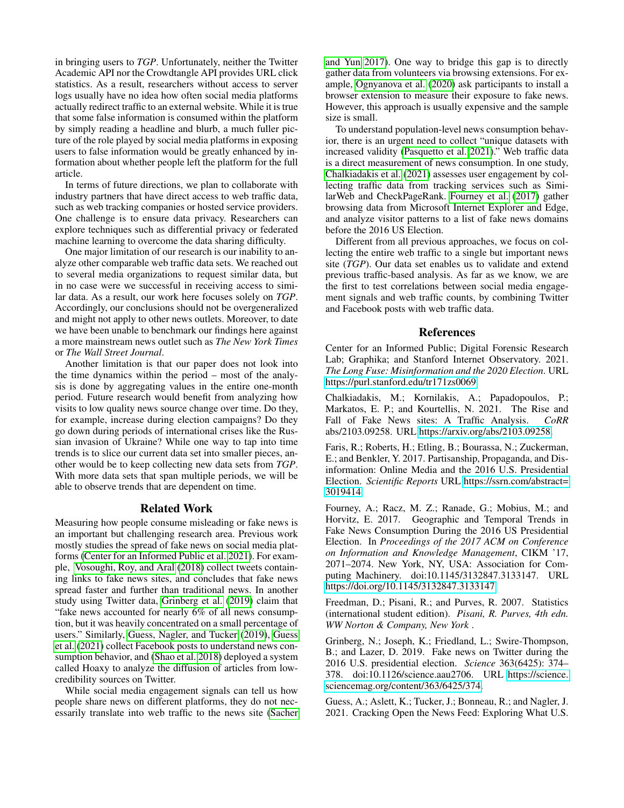in bringing users to *TGP*. Unfortunately, neither the Twitter Academic API nor the Crowdtangle API provides URL click statistics. As a result, researchers without access to server logs usually have no idea how often social media platforms actually redirect traffic to an external website. While it is true that some false information is consumed within the platform by simply reading a headline and blurb, a much fuller picture of the role played by social media platforms in exposing users to false information would be greatly enhanced by information about whether people left the platform for the full article.

In terms of future directions, we plan to collaborate with industry partners that have direct access to web traffic data, such as web tracking companies or hosted service providers. One challenge is to ensure data privacy. Researchers can explore techniques such as differential privacy or federated machine learning to overcome the data sharing difficulty.

One major limitation of our research is our inability to analyze other comparable web traffic data sets. We reached out to several media organizations to request similar data, but in no case were we successful in receiving access to similar data. As a result, our work here focuses solely on *TGP*. Accordingly, our conclusions should not be overgeneralized and might not apply to other news outlets. Moreover, to date we have been unable to benchmark our findings here against a more mainstream news outlet such as *The New York Times* or *The Wall Street Journal*.

Another limitation is that our paper does not look into the time dynamics within the period – most of the analysis is done by aggregating values in the entire one-month period. Future research would benefit from analyzing how visits to low quality news source change over time. Do they, for example, increase during election campaigns? Do they go down during periods of international crises like the Russian invasion of Ukraine? While one way to tap into time trends is to slice our current data set into smaller pieces, another would be to keep collecting new data sets from *TGP*. With more data sets that span multiple periods, we will be able to observe trends that are dependent on time.

#### Related Work

Measuring how people consume misleading or fake news is an important but challenging research area. Previous work mostly studies the spread of fake news on social media platforms [\(Center for an Informed Public et al. 2021\)](#page-6-1). For example, [Vosoughi, Roy, and Aral](#page-7-1) [\(2018\)](#page-7-1) collect tweets containing links to fake news sites, and concludes that fake news spread faster and further than traditional news. In another study using Twitter data, [Grinberg et al.](#page-6-0) [\(2019\)](#page-6-0) claim that "fake news accounted for nearly 6% of all news consumption, but it was heavily concentrated on a small percentage of users." Similarly, [Guess, Nagler, and Tucker](#page-7-2) [\(2019\)](#page-7-2), [Guess](#page-6-2) [et al.](#page-6-2) [\(2021\)](#page-6-2) collect Facebook posts to understand news consumption behavior, and [\(Shao et al. 2018\)](#page-7-7) deployed a system called Hoaxy to analyze the diffusion of articles from lowcredibility sources on Twitter.

While social media engagement signals can tell us how people share news on different platforms, they do not necessarily translate into web traffic to the news site [\(Sacher](#page-7-3)

[and Yun 2017\)](#page-7-3). One way to bridge this gap is to directly gather data from volunteers via browsing extensions. For example, [Ognyanova et al.](#page-7-8) [\(2020\)](#page-7-8) ask participants to install a browser extension to measure their exposure to fake news. However, this approach is usually expensive and the sample size is small.

To understand population-level news consumption behavior, there is an urgent need to collect "unique datasets with increased validity [\(Pasquetto et al. 2021\)](#page-7-9)." Web traffic data is a direct measurement of news consumption. In one study, [Chalkiadakis et al.](#page-6-3) [\(2021\)](#page-6-3) assesses user engagement by collecting traffic data from tracking services such as SimilarWeb and CheckPageRank. [Fourney et al.](#page-6-4) [\(2017\)](#page-6-4) gather browsing data from Microsoft Internet Explorer and Edge, and analyze visitor patterns to a list of fake news domains before the 2016 US Election.

Different from all previous approaches, we focus on collecting the entire web traffic to a single but important news site (*TGP*). Our data set enables us to validate and extend previous traffic-based analysis. As far as we know, we are the first to test correlations between social media engagement signals and web traffic counts, by combining Twitter and Facebook posts with web traffic data.

### References

<span id="page-6-1"></span>Center for an Informed Public; Digital Forensic Research Lab; Graphika; and Stanford Internet Observatory. 2021. *The Long Fuse: Misinformation and the 2020 Election*. URL [https://purl.stanford.edu/tr171zs0069.](https://purl.stanford.edu/tr171zs0069)

<span id="page-6-3"></span>Chalkiadakis, M.; Kornilakis, A.; Papadopoulos, P.; Markatos, E. P.; and Kourtellis, N. 2021. The Rise and Fall of Fake News sites: A Traffic Analysis. *CoRR* abs/2103.09258. URL [https://arxiv.org/abs/2103.09258.](https://arxiv.org/abs/2103.09258)

<span id="page-6-5"></span>Faris, R.; Roberts, H.; Etling, B.; Bourassa, N.; Zuckerman, E.; and Benkler, Y. 2017. Partisanship, Propaganda, and Disinformation: Online Media and the 2016 U.S. Presidential Election. *Scientific Reports* URL [https://ssrn.com/abstract=](https://ssrn.com/abstract=3019414) [3019414.](https://ssrn.com/abstract=3019414)

<span id="page-6-4"></span>Fourney, A.; Racz, M. Z.; Ranade, G.; Mobius, M.; and Horvitz, E. 2017. Geographic and Temporal Trends in Fake News Consumption During the 2016 US Presidential Election. In *Proceedings of the 2017 ACM on Conference on Information and Knowledge Management*, CIKM '17, 2071–2074. New York, NY, USA: Association for Computing Machinery. doi:10.1145/3132847.3133147. URL [https://doi.org/10.1145/3132847.3133147.](https://doi.org/10.1145/3132847.3133147)

<span id="page-6-6"></span>Freedman, D.; Pisani, R.; and Purves, R. 2007. Statistics (international student edition). *Pisani, R. Purves, 4th edn. WW Norton & Company, New York* .

<span id="page-6-0"></span>Grinberg, N.; Joseph, K.; Friedland, L.; Swire-Thompson, B.; and Lazer, D. 2019. Fake news on Twitter during the 2016 U.S. presidential election. *Science* 363(6425): 374– 378. doi:10.1126/science.aau2706. URL [https://science.](https://science.sciencemag.org/content/363/6425/374) [sciencemag.org/content/363/6425/374.](https://science.sciencemag.org/content/363/6425/374)

<span id="page-6-2"></span>Guess, A.; Aslett, K.; Tucker, J.; Bonneau, R.; and Nagler, J. 2021. Cracking Open the News Feed: Exploring What U.S.